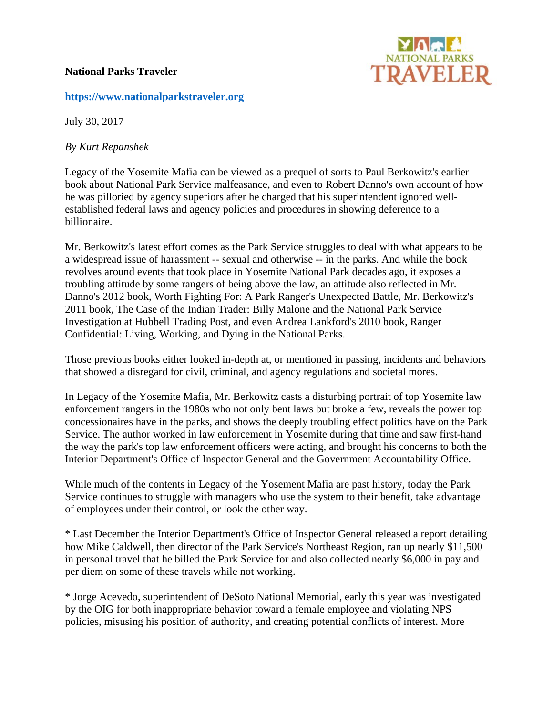## **National Parks Traveler**



## **https://www.nationalparkstraveler.org**

July 30, 2017

*By Kurt Repanshek* 

Legacy of the Yosemite Mafia can be viewed as a prequel of sorts to Paul Berkowitz's earlier book about National Park Service malfeasance, and even to Robert Danno's own account of how he was pilloried by agency superiors after he charged that his superintendent ignored wellestablished federal laws and agency policies and procedures in showing deference to a billionaire.

Mr. Berkowitz's latest effort comes as the Park Service struggles to deal with what appears to be a widespread issue of harassment -- sexual and otherwise -- in the parks. And while the book revolves around events that took place in Yosemite National Park decades ago, it exposes a troubling attitude by some rangers of being above the law, an attitude also reflected in Mr. Danno's 2012 book, Worth Fighting For: A Park Ranger's Unexpected Battle, Mr. Berkowitz's 2011 book, The Case of the Indian Trader: Billy Malone and the National Park Service Investigation at Hubbell Trading Post, and even Andrea Lankford's 2010 book, Ranger Confidential: Living, Working, and Dying in the National Parks.

Those previous books either looked in-depth at, or mentioned in passing, incidents and behaviors that showed a disregard for civil, criminal, and agency regulations and societal mores.

In Legacy of the Yosemite Mafia, Mr. Berkowitz casts a disturbing portrait of top Yosemite law enforcement rangers in the 1980s who not only bent laws but broke a few, reveals the power top concessionaires have in the parks, and shows the deeply troubling effect politics have on the Park Service. The author worked in law enforcement in Yosemite during that time and saw first-hand the way the park's top law enforcement officers were acting, and brought his concerns to both the Interior Department's Office of Inspector General and the Government Accountability Office.

While much of the contents in Legacy of the Yosement Mafia are past history, today the Park Service continues to struggle with managers who use the system to their benefit, take advantage of employees under their control, or look the other way.

\* Last December the Interior Department's Office of Inspector General released a report detailing how Mike Caldwell, then director of the Park Service's Northeast Region, ran up nearly \$11,500 in personal travel that he billed the Park Service for and also collected nearly \$6,000 in pay and per diem on some of these travels while not working.

\* Jorge Acevedo, superintendent of DeSoto National Memorial, early this year was investigated by the OIG for both inappropriate behavior toward a female employee and violating NPS policies, misusing his position of authority, and creating potential conflicts of interest. More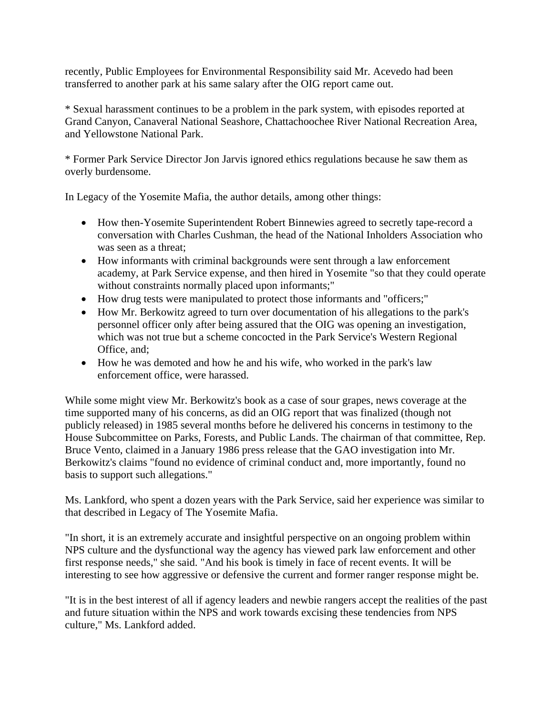recently, Public Employees for Environmental Responsibility said Mr. Acevedo had been transferred to another park at his same salary after the OIG report came out.

\* Sexual harassment continues to be a problem in the park system, with episodes reported at Grand Canyon, Canaveral National Seashore, Chattachoochee River National Recreation Area, and Yellowstone National Park.

\* Former Park Service Director Jon Jarvis ignored ethics regulations because he saw them as overly burdensome.

In Legacy of the Yosemite Mafia, the author details, among other things:

- How then-Yosemite Superintendent Robert Binnewies agreed to secretly tape-record a conversation with Charles Cushman, the head of the National Inholders Association who was seen as a threat;
- How informants with criminal backgrounds were sent through a law enforcement academy, at Park Service expense, and then hired in Yosemite "so that they could operate without constraints normally placed upon informants;"
- How drug tests were manipulated to protect those informants and "officers;"
- How Mr. Berkowitz agreed to turn over documentation of his allegations to the park's personnel officer only after being assured that the OIG was opening an investigation, which was not true but a scheme concocted in the Park Service's Western Regional Office, and;
- How he was demoted and how he and his wife, who worked in the park's law enforcement office, were harassed.

While some might view Mr. Berkowitz's book as a case of sour grapes, news coverage at the time supported many of his concerns, as did an OIG report that was finalized (though not publicly released) in 1985 several months before he delivered his concerns in testimony to the House Subcommittee on Parks, Forests, and Public Lands. The chairman of that committee, Rep. Bruce Vento, claimed in a January 1986 press release that the GAO investigation into Mr. Berkowitz's claims "found no evidence of criminal conduct and, more importantly, found no basis to support such allegations."

Ms. Lankford, who spent a dozen years with the Park Service, said her experience was similar to that described in Legacy of The Yosemite Mafia.

"In short, it is an extremely accurate and insightful perspective on an ongoing problem within NPS culture and the dysfunctional way the agency has viewed park law enforcement and other first response needs," she said. "And his book is timely in face of recent events. It will be interesting to see how aggressive or defensive the current and former ranger response might be.

"It is in the best interest of all if agency leaders and newbie rangers accept the realities of the past and future situation within the NPS and work towards excising these tendencies from NPS culture," Ms. Lankford added.